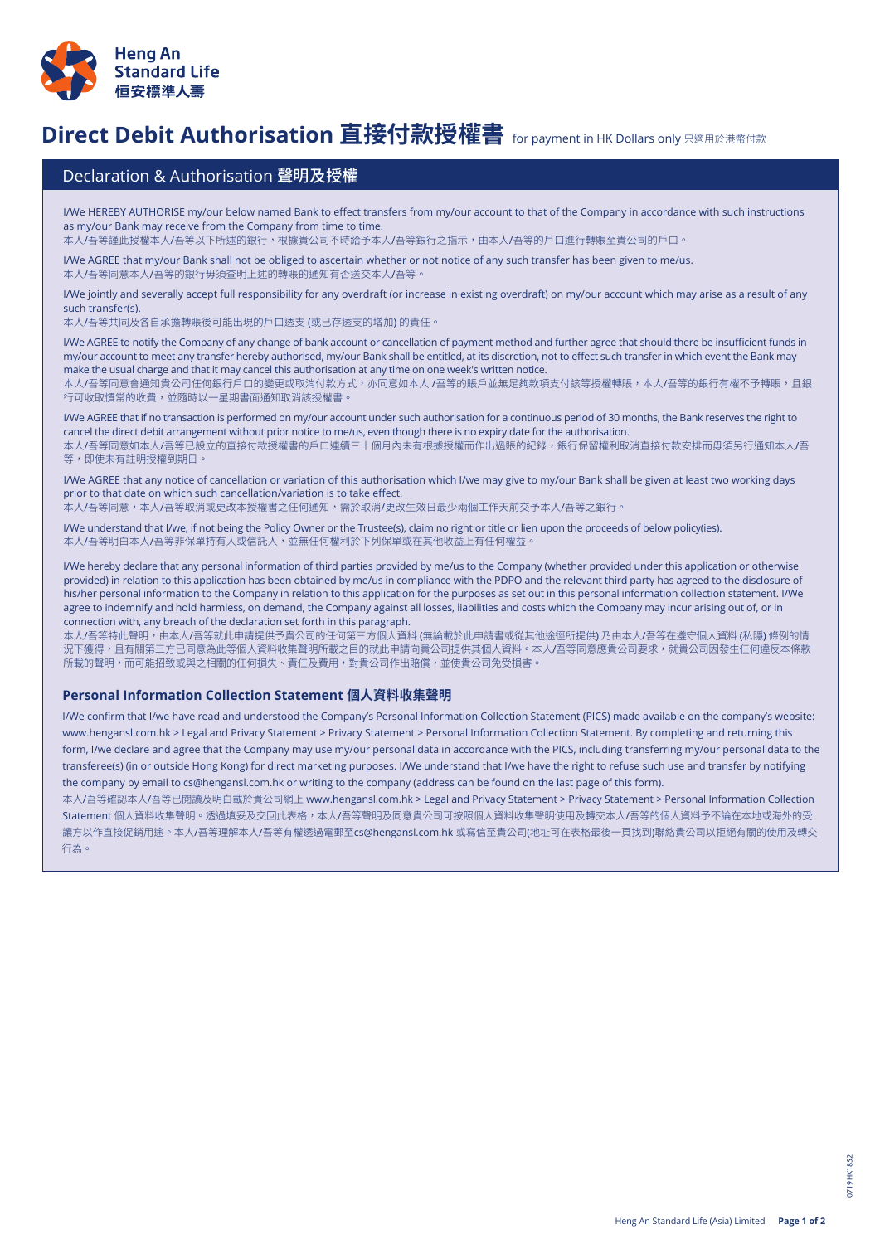

## **Direct Debit Authorisation 直接付款授權書** for payment in HK Dollars only 只適用於港幣付款

## Declaration & Authorisation 聲明及授權

I/We HEREBY AUTHORISE my/our below named Bank to effect transfers from my/our account to that of the Company in accordance with such instructions as my/our Bank may receive from the Company from time to time.

本人/吾等謹此授權本人/吾等以下所述的銀行,根據貴公司不時給予本人/吾等銀行之指示,由本人/吾等的戶口進行轉賬至貴公司的戶口。

I/We AGREE that my/our Bank shall not be obliged to ascertain whether or not notice of any such transfer has been given to me/us. 本人/吾等同意本人/吾等的銀行毋須查明上述的轉賬的通知有否送交本人/吾等。

I/We jointly and severally accept full responsibility for any overdraft (or increase in existing overdraft) on my/our account which may arise as a result of any such transfer(s).

本人/吾等共同及各自承擔轉賬後可能出現的戶口透支 (或已存透支的增加) 的責任。

I/We AGREE to notify the Company of any change of bank account or cancellation of payment method and further agree that should there be insufficient funds in my/our account to meet any transfer hereby authorised, my/our Bank shall be entitled, at its discretion, not to effect such transfer in which event the Bank may make the usual charge and that it may cancel this authorisation at any time on one week's written notice.

本人/吾等同意會通知貴公司任何銀行戶口的變更或取消付款方式,亦同意如本人 /吾等的賬戶並無足夠款項支付該等授權轉賬,本人/吾等的銀行有權不予轉賬,且銀 行可收取慣常的收費,並隨時以一星期書面通知取消該授權書。

I/We AGREE that if no transaction is performed on my/our account under such authorisation for a continuous period of 30 months, the Bank reserves the right to cancel the direct debit arrangement without prior notice to me/us, even though there is no expiry date for the authorisation. 本人/吾等同意如本人/吾等已設立的直接付款授權書的戶口連續三十個月內未有根據授權而作出過賬的紀錄,銀行保留權利取消直接付款安排而毋須另行通知本人/吾 等,即使未有註明授權到期日。

I/We AGREE that any notice of cancellation or variation of this authorisation which I/we may give to my/our Bank shall be given at least two working days prior to that date on which such cancellation/variation is to take effect.

本人/吾等同意,本人/吾等取消或更改本授權書之任何通知,需於取消/更改生效日最少兩個工作天前交予本人/吾等之銀行。

I/We understand that I/we, if not being the Policy Owner or the Trustee(s), claim no right or title or lien upon the proceeds of below policy(ies). 本人/吾等明白本人/吾等非保單持有人或信託人,並無任何權利於下列保單或在其他收益上有任何權益。

I/We hereby declare that any personal information of third parties provided by me/us to the Company (whether provided under this application or otherwise provided) in relation to this application has been obtained by me/us in compliance with the PDPO and the relevant third party has agreed to the disclosure of his/her personal information to the Company in relation to this application for the purposes as set out in this personal information collection statement. I/We agree to indemnify and hold harmless, on demand, the Company against all losses, liabilities and costs which the Company may incur arising out of, or in connection with, any breach of the declaration set forth in this paragraph.

本人/吾等特此聲明,由本人/吾等就此申請提供予貴公司的任何第三方個人資料 (無論載於此申請書或從其他途徑所提供) 乃由本人/吾等在遵守個人資料 (私隱) 條例的情 況下獲得,且有關第三方已同意為此等個人資料收集聲明所載之目的就此申請向貴公司提供其個人資料。本人/吾等同意應貴公司要求,就貴公司因發生任何違反本條款 所載的聲明,而可能招致或與之相關的任何損失、責任及費用,對貴公司作出賠償,並使貴公司免受損害。

## **Personal Information Collection Statement 個人資料收集聲明**

I/We confirm that I/we have read and understood the Company's Personal Information Collection Statement (PICS) made available on the company's website: www.hengansl.com.hk > Legal and Privacy Statement > Privacy Statement > Personal Information Collection Statement. By completing and returning this form, I/we declare and agree that the Company may use my/our personal data in accordance with the PICS, including transferring my/our personal data to the transferee(s) (in or outside Hong Kong) for direct marketing purposes. I/We understand that I/we have the right to refuse such use and transfer by notifying the company by email to cs@hengansl.com.hk or writing to the company (address can be found on the last page of this form).

本人/吾等確認本人/吾等已閱讀及明白載於貴公司網上 www.hengansl.com.hk > Legal and Privacy Statement > Privacy Statement > Personal Information Collection Statement 個人資料收集聲明。透過填妥及交回此表格,本人/吾等聲明及同意貴公司可按照個人資料收集聲明使用及轉交本人/吾等的個人資料予不論在本地或海外的受 讓方以作直接促銷用途。本人/吾等理解本人/吾等有權透過電郵至cs@hengansl.com.hk 或寫信至貴公司(地址可在表格最後一頁找到)聯絡貴公司以拒絕有關的使用及轉交 行為。